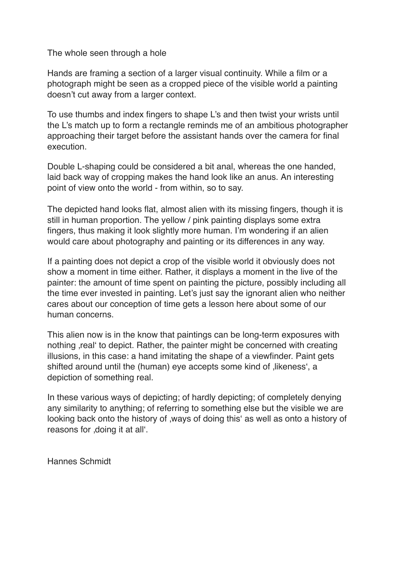The whole seen through a hole

Hands are framing a section of a larger visual continuity. While a film or a photograph might be seen as a cropped piece of the visible world a painting doesn't cut away from a larger context.

To use thumbs and index fingers to shape L's and then twist your wrists until the L's match up to form a rectangle reminds me of an ambitious photographer approaching their target before the assistant hands over the camera for final execution.

Double L-shaping could be considered a bit anal, whereas the one handed, laid back way of cropping makes the hand look like an anus. An interesting point of view onto the world - from within, so to say.

The depicted hand looks flat, almost alien with its missing fingers, though it is still in human proportion. The yellow / pink painting displays some extra fingers, thus making it look slightly more human. I'm wondering if an alien would care about photography and painting or its differences in any way.

If a painting does not depict a crop of the visible world it obviously does not show a moment in time either. Rather, it displays a moment in the live of the painter: the amount of time spent on painting the picture, possibly including all the time ever invested in painting. Let's just say the ignorant alien who neither cares about our conception of time gets a lesson here about some of our human concerns.

This alien now is in the know that paintings can be long-term exposures with nothing , real' to depict. Rather, the painter might be concerned with creating illusions, in this case: a hand imitating the shape of a viewfinder. Paint gets shifted around until the (human) eye accepts some kind of likeness', a depiction of something real.

In these various ways of depicting; of hardly depicting; of completely denying any similarity to anything; of referring to something else but the visible we are looking back onto the history of , ways of doing this as well as onto a history of reasons for , doing it at all'.

Hannes Schmidt